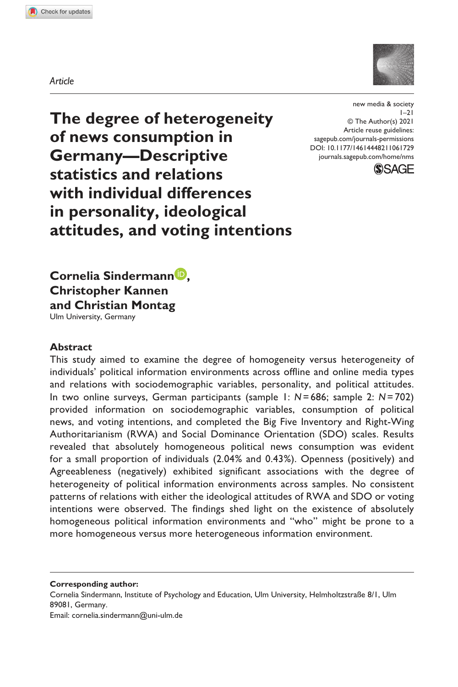**1061729** NMS0010.1177/14614448211061729new media & society**Sindermann et al.**



**The degree of heterogeneity of news consumption in Germany—Descriptive statistics and relations with individual differences in personality, ideological attitudes, and voting intentions** https://doi.org/10.1177/14614448211061729 DOI: 10.1177/14614448211061729 new media & society  $1 - 21$ © The Author(s) 2021 Article reuse guidelines: sagepub.com/journals-permissions journals.sagepub.com/home/nms



**Cornelia Sindermann<sup>D</sup>**, **Christopher Kannen and Christian Montag**

Ulm University, Germany

### **Abstract**

This study aimed to examine the degree of homogeneity versus heterogeneity of individuals' political information environments across offline and online media types and relations with sociodemographic variables, personality, and political attitudes. In two online surveys, German participants (sample 1: *N* = 686; sample 2: *N* = 702) provided information on sociodemographic variables, consumption of political news, and voting intentions, and completed the Big Five Inventory and Right-Wing Authoritarianism (RWA) and Social Dominance Orientation (SDO) scales. Results revealed that absolutely homogeneous political news consumption was evident for a small proportion of individuals (2.04% and 0.43%). Openness (positively) and Agreeableness (negatively) exhibited significant associations with the degree of heterogeneity of political information environments across samples. No consistent patterns of relations with either the ideological attitudes of RWA and SDO or voting intentions were observed. The findings shed light on the existence of absolutely homogeneous political information environments and "who" might be prone to a more homogeneous versus more heterogeneous information environment.

**Corresponding author:** Cornelia Sindermann, Institute of Psychology and Education, Ulm University, Helmholtzstraße 8/1, Ulm 89081, Germany. Email: cornelia.sindermann@uni-ulm.de

### *Article*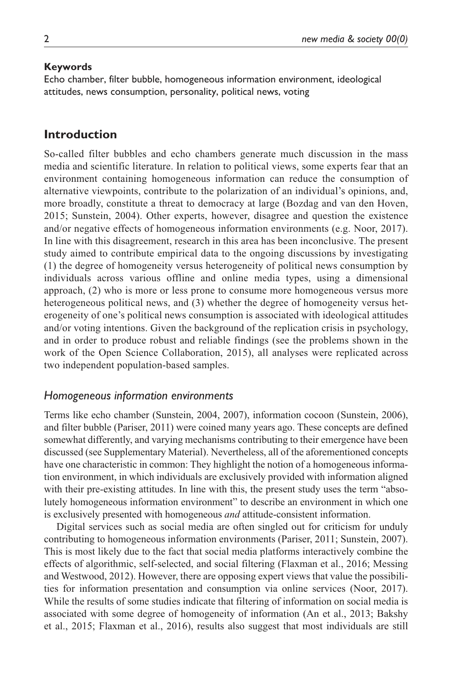#### **Keywords**

Echo chamber, filter bubble, homogeneous information environment, ideological attitudes, news consumption, personality, political news, voting

# **Introduction**

So-called filter bubbles and echo chambers generate much discussion in the mass media and scientific literature. In relation to political views, some experts fear that an environment containing homogeneous information can reduce the consumption of alternative viewpoints, contribute to the polarization of an individual's opinions, and, more broadly, constitute a threat to democracy at large (Bozdag and van den Hoven, 2015; Sunstein, 2004). Other experts, however, disagree and question the existence and/or negative effects of homogeneous information environments (e.g. Noor, 2017). In line with this disagreement, research in this area has been inconclusive. The present study aimed to contribute empirical data to the ongoing discussions by investigating (1) the degree of homogeneity versus heterogeneity of political news consumption by individuals across various offline and online media types, using a dimensional approach, (2) who is more or less prone to consume more homogeneous versus more heterogeneous political news, and (3) whether the degree of homogeneity versus heterogeneity of one's political news consumption is associated with ideological attitudes and/or voting intentions. Given the background of the replication crisis in psychology, and in order to produce robust and reliable findings (see the problems shown in the work of the Open Science Collaboration, 2015), all analyses were replicated across two independent population-based samples.

### *Homogeneous information environments*

Terms like echo chamber (Sunstein, 2004, 2007), information cocoon (Sunstein, 2006), and filter bubble (Pariser, 2011) were coined many years ago. These concepts are defined somewhat differently, and varying mechanisms contributing to their emergence have been discussed (see Supplementary Material). Nevertheless, all of the aforementioned concepts have one characteristic in common: They highlight the notion of a homogeneous information environment, in which individuals are exclusively provided with information aligned with their pre-existing attitudes. In line with this, the present study uses the term "absolutely homogeneous information environment" to describe an environment in which one is exclusively presented with homogeneous *and* attitude-consistent information.

Digital services such as social media are often singled out for criticism for unduly contributing to homogeneous information environments (Pariser, 2011; Sunstein, 2007). This is most likely due to the fact that social media platforms interactively combine the effects of algorithmic, self-selected, and social filtering (Flaxman et al., 2016; Messing and Westwood, 2012). However, there are opposing expert views that value the possibilities for information presentation and consumption via online services (Noor, 2017). While the results of some studies indicate that filtering of information on social media is associated with some degree of homogeneity of information (An et al., 2013; Bakshy et al., 2015; Flaxman et al., 2016), results also suggest that most individuals are still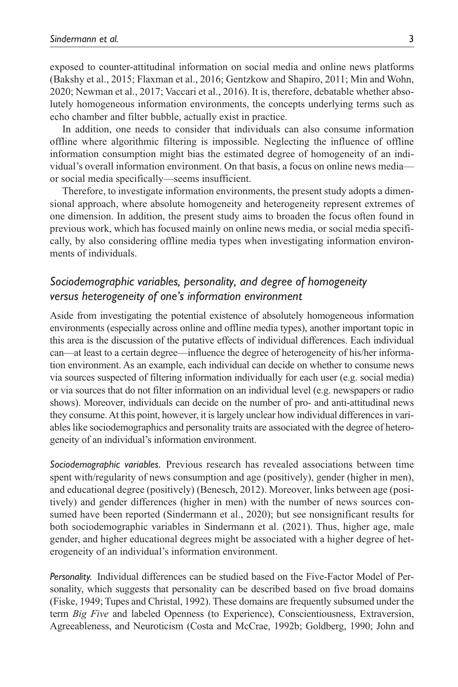exposed to counter-attitudinal information on social media and online news platforms (Bakshy et al., 2015; Flaxman et al., 2016; Gentzkow and Shapiro, 2011; Min and Wohn, 2020; Newman et al., 2017; Vaccari et al., 2016). It is, therefore, debatable whether absolutely homogeneous information environments, the concepts underlying terms such as echo chamber and filter bubble, actually exist in practice.

In addition, one needs to consider that individuals can also consume information offline where algorithmic filtering is impossible. Neglecting the influence of offline information consumption might bias the estimated degree of homogeneity of an individual's overall information environment. On that basis, a focus on online news media or social media specifically—seems insufficient.

Therefore, to investigate information environments, the present study adopts a dimensional approach, where absolute homogeneity and heterogeneity represent extremes of one dimension. In addition, the present study aims to broaden the focus often found in previous work, which has focused mainly on online news media, or social media specifically, by also considering offline media types when investigating information environments of individuals.

# *Sociodemographic variables, personality, and degree of homogeneity versus heterogeneity of one's information environment*

Aside from investigating the potential existence of absolutely homogeneous information environments (especially across online and offline media types), another important topic in this area is the discussion of the putative effects of individual differences. Each individual can—at least to a certain degree—influence the degree of heterogeneity of his/her information environment. As an example, each individual can decide on whether to consume news via sources suspected of filtering information individually for each user (e.g. social media) or via sources that do not filter information on an individual level (e.g. newspapers or radio shows). Moreover, individuals can decide on the number of pro- and anti-attitudinal news they consume. At this point, however, it is largely unclear how individual differences in variables like sociodemographics and personality traits are associated with the degree of heterogeneity of an individual's information environment.

*Sociodemographic variables.* Previous research has revealed associations between time spent with/regularity of news consumption and age (positively), gender (higher in men), and educational degree (positively) (Benesch, 2012). Moreover, links between age (positively) and gender differences (higher in men) with the number of news sources consumed have been reported (Sindermann et al., 2020); but see nonsignificant results for both sociodemographic variables in Sindermann et al. (2021). Thus, higher age, male gender, and higher educational degrees might be associated with a higher degree of heterogeneity of an individual's information environment.

*Personality.* Individual differences can be studied based on the Five-Factor Model of Personality, which suggests that personality can be described based on five broad domains (Fiske, 1949; Tupes and Christal, 1992). These domains are frequently subsumed under the term *Big Five* and labeled Openness (to Experience), Conscientiousness, Extraversion, Agreeableness, and Neuroticism (Costa and McCrae, 1992b; Goldberg, 1990; John and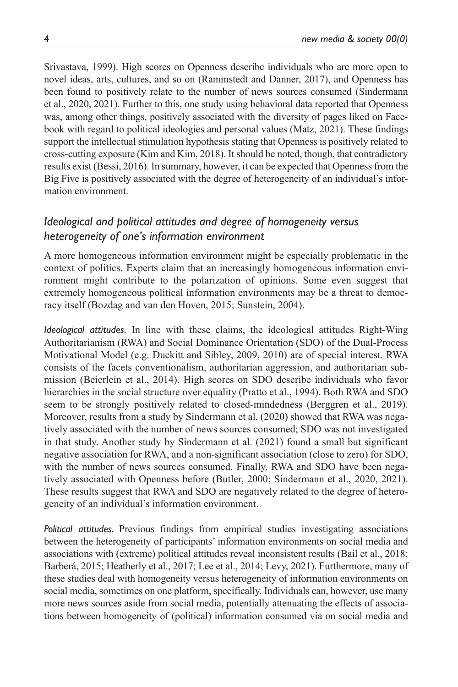Srivastava, 1999). High scores on Openness describe individuals who are more open to novel ideas, arts, cultures, and so on (Rammstedt and Danner, 2017), and Openness has been found to positively relate to the number of news sources consumed (Sindermann et al., 2020, 2021). Further to this, one study using behavioral data reported that Openness was, among other things, positively associated with the diversity of pages liked on Facebook with regard to political ideologies and personal values (Matz, 2021). These findings support the intellectual stimulation hypothesis stating that Openness is positively related to cross-cutting exposure (Kim and Kim, 2018). It should be noted, though, that contradictory results exist (Bessi, 2016). In summary, however, it can be expected that Openness from the Big Five is positively associated with the degree of heterogeneity of an individual's information environment.

# *Ideological and political attitudes and degree of homogeneity versus heterogeneity of one's information environment*

A more homogeneous information environment might be especially problematic in the context of politics. Experts claim that an increasingly homogeneous information environment might contribute to the polarization of opinions. Some even suggest that extremely homogeneous political information environments may be a threat to democracy itself (Bozdag and van den Hoven, 2015; Sunstein, 2004).

*Ideological attitudes.* In line with these claims, the ideological attitudes Right-Wing Authoritarianism (RWA) and Social Dominance Orientation (SDO) of the Dual-Process Motivational Model (e.g. Duckitt and Sibley, 2009, 2010) are of special interest. RWA consists of the facets conventionalism, authoritarian aggression, and authoritarian submission (Beierlein et al., 2014). High scores on SDO describe individuals who favor hierarchies in the social structure over equality (Pratto et al., 1994). Both RWA and SDO seem to be strongly positively related to closed-mindedness (Berggren et al., 2019). Moreover, results from a study by Sindermann et al. (2020) showed that RWA was negatively associated with the number of news sources consumed; SDO was not investigated in that study. Another study by Sindermann et al. (2021) found a small but significant negative association for RWA, and a non-significant association (close to zero) for SDO, with the number of news sources consumed. Finally, RWA and SDO have been negatively associated with Openness before (Butler, 2000; Sindermann et al., 2020, 2021). These results suggest that RWA and SDO are negatively related to the degree of heterogeneity of an individual's information environment.

*Political attitudes.* Previous findings from empirical studies investigating associations between the heterogeneity of participants' information environments on social media and associations with (extreme) political attitudes reveal inconsistent results (Bail et al., 2018; Barberá, 2015; Heatherly et al., 2017; Lee et al., 2014; Levy, 2021). Furthermore, many of these studies deal with homogeneity versus heterogeneity of information environments on social media, sometimes on one platform, specifically. Individuals can, however, use many more news sources aside from social media, potentially attenuating the effects of associations between homogeneity of (political) information consumed via on social media and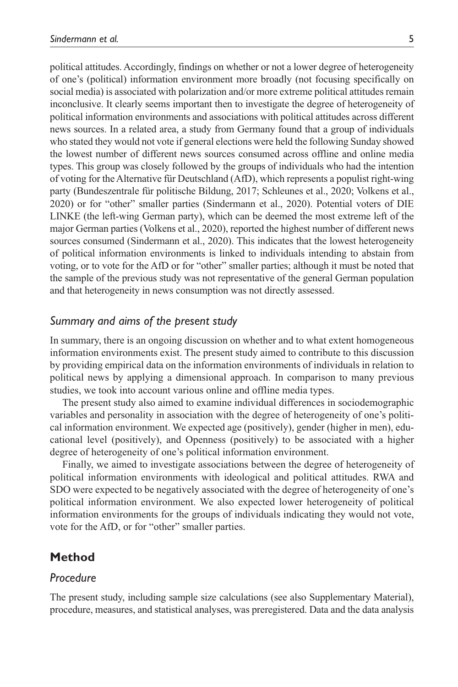political attitudes. Accordingly, findings on whether or not a lower degree of heterogeneity of one's (political) information environment more broadly (not focusing specifically on social media) is associated with polarization and/or more extreme political attitudes remain inconclusive. It clearly seems important then to investigate the degree of heterogeneity of political information environments and associations with political attitudes across different news sources. In a related area, a study from Germany found that a group of individuals who stated they would not vote if general elections were held the following Sunday showed the lowest number of different news sources consumed across offline and online media types. This group was closely followed by the groups of individuals who had the intention of voting for the Alternative für Deutschland (AfD), which represents a populist right-wing party (Bundeszentrale für politische Bildung, 2017; Schleunes et al., 2020; Volkens et al., 2020) or for "other" smaller parties (Sindermann et al., 2020). Potential voters of DIE LINKE (the left-wing German party), which can be deemed the most extreme left of the major German parties (Volkens et al., 2020), reported the highest number of different news sources consumed (Sindermann et al., 2020). This indicates that the lowest heterogeneity of political information environments is linked to individuals intending to abstain from voting, or to vote for the AfD or for "other" smaller parties; although it must be noted that the sample of the previous study was not representative of the general German population and that heterogeneity in news consumption was not directly assessed.

### *Summary and aims of the present study*

In summary, there is an ongoing discussion on whether and to what extent homogeneous information environments exist. The present study aimed to contribute to this discussion by providing empirical data on the information environments of individuals in relation to political news by applying a dimensional approach. In comparison to many previous studies, we took into account various online and offline media types.

The present study also aimed to examine individual differences in sociodemographic variables and personality in association with the degree of heterogeneity of one's political information environment. We expected age (positively), gender (higher in men), educational level (positively), and Openness (positively) to be associated with a higher degree of heterogeneity of one's political information environment.

Finally, we aimed to investigate associations between the degree of heterogeneity of political information environments with ideological and political attitudes. RWA and SDO were expected to be negatively associated with the degree of heterogeneity of one's political information environment. We also expected lower heterogeneity of political information environments for the groups of individuals indicating they would not vote, vote for the AfD, or for "other" smaller parties.

# **Method**

## *Procedure*

The present study, including sample size calculations (see also Supplementary Material), procedure, measures, and statistical analyses, was preregistered. Data and the data analysis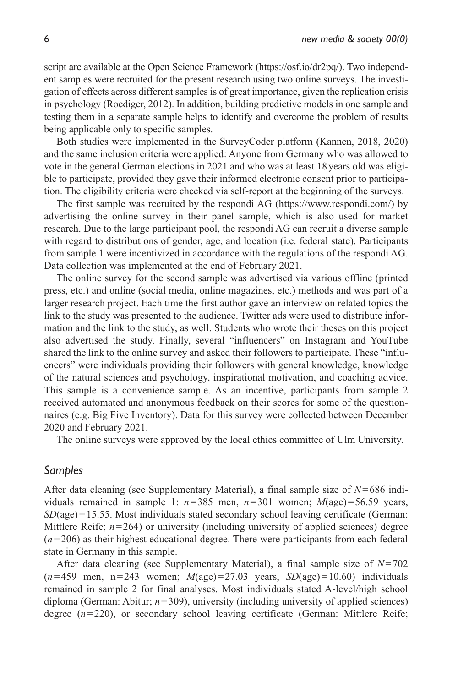script are available at the Open Science Framework (https://osf.io/dr2pq/). Two independent samples were recruited for the present research using two online surveys. The investigation of effects across different samples is of great importance, given the replication crisis in psychology (Roediger, 2012). In addition, building predictive models in one sample and testing them in a separate sample helps to identify and overcome the problem of results being applicable only to specific samples.

Both studies were implemented in the SurveyCoder platform (Kannen, 2018, 2020) and the same inclusion criteria were applied: Anyone from Germany who was allowed to vote in the general German elections in 2021 and who was at least 18 years old was eligible to participate, provided they gave their informed electronic consent prior to participation. The eligibility criteria were checked via self-report at the beginning of the surveys.

The first sample was recruited by the respondi AG (https://www.respondi.com/) by advertising the online survey in their panel sample, which is also used for market research. Due to the large participant pool, the respondi AG can recruit a diverse sample with regard to distributions of gender, age, and location (i.e. federal state). Participants from sample 1 were incentivized in accordance with the regulations of the respondi AG. Data collection was implemented at the end of February 2021.

The online survey for the second sample was advertised via various offline (printed press, etc.) and online (social media, online magazines, etc.) methods and was part of a larger research project. Each time the first author gave an interview on related topics the link to the study was presented to the audience. Twitter ads were used to distribute information and the link to the study, as well. Students who wrote their theses on this project also advertised the study. Finally, several "influencers" on Instagram and YouTube shared the link to the online survey and asked their followers to participate. These "influencers" were individuals providing their followers with general knowledge, knowledge of the natural sciences and psychology, inspirational motivation, and coaching advice. This sample is a convenience sample. As an incentive, participants from sample 2 received automated and anonymous feedback on their scores for some of the questionnaires (e.g. Big Five Inventory). Data for this survey were collected between December 2020 and February 2021.

The online surveys were approved by the local ethics committee of Ulm University.

## *Samples*

After data cleaning (see Supplementary Material), a final sample size of *N* = 686 individuals remained in sample 1:  $n=385$  men,  $n=301$  women;  $M(age)=56.59$  years,  $SD(age) = 15.55$ . Most individuals stated secondary school leaving certificate (German: Mittlere Reife;  $n = 264$ ) or university (including university of applied sciences) degree  $(n=206)$  as their highest educational degree. There were participants from each federal state in Germany in this sample.

After data cleaning (see Supplementary Material), a final sample size of  $N=702$  $(n=459 \text{ men}, n=243 \text{ women}; M(age)=27.03 \text{ years}, SD(age)=10.60)$  individuals remained in sample 2 for final analyses. Most individuals stated A-level/high school diploma (German: Abitur;  $n=309$ ), university (including university of applied sciences) degree ( $n=220$ ), or secondary school leaving certificate (German: Mittlere Reife;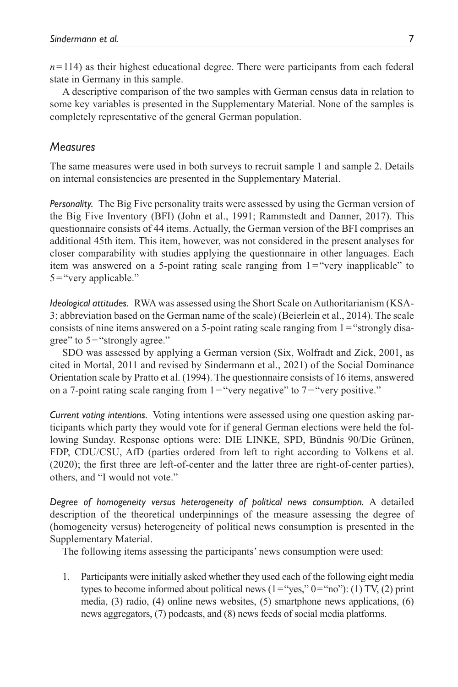$n=114$ ) as their highest educational degree. There were participants from each federal state in Germany in this sample.

A descriptive comparison of the two samples with German census data in relation to some key variables is presented in the Supplementary Material. None of the samples is completely representative of the general German population.

### *Measures*

The same measures were used in both surveys to recruit sample 1 and sample 2. Details on internal consistencies are presented in the Supplementary Material.

*Personality.* The Big Five personality traits were assessed by using the German version of the Big Five Inventory (BFI) (John et al., 1991; Rammstedt and Danner, 2017). This questionnaire consists of 44 items. Actually, the German version of the BFI comprises an additional 45th item. This item, however, was not considered in the present analyses for closer comparability with studies applying the questionnaire in other languages. Each item was answered on a 5-point rating scale ranging from  $1 =$  "very inapplicable" to  $5 =$ "very applicable."

*Ideological attitudes.* RWA was assessed using the Short Scale on Authoritarianism (KSA-3; abbreviation based on the German name of the scale) (Beierlein et al., 2014). The scale consists of nine items answered on a 5-point rating scale ranging from 1 = "strongly disagree" to  $5 =$  "strongly agree."

SDO was assessed by applying a German version (Six, Wolfradt and Zick, 2001, as cited in Mortal, 2011 and revised by Sindermann et al., 2021) of the Social Dominance Orientation scale by Pratto et al. (1994). The questionnaire consists of 16 items, answered on a 7-point rating scale ranging from  $1 =$  "very negative" to  $7 =$  "very positive."

*Current voting intentions.* Voting intentions were assessed using one question asking participants which party they would vote for if general German elections were held the following Sunday. Response options were: DIE LINKE, SPD, Bündnis 90/Die Grünen, FDP, CDU/CSU, AfD (parties ordered from left to right according to Volkens et al. (2020); the first three are left-of-center and the latter three are right-of-center parties), others, and "I would not vote."

*Degree of homogeneity versus heterogeneity of political news consumption.* A detailed description of the theoretical underpinnings of the measure assessing the degree of (homogeneity versus) heterogeneity of political news consumption is presented in the Supplementary Material.

The following items assessing the participants' news consumption were used:

1. Participants were initially asked whether they used each of the following eight media types to become informed about political news  $(1 = "yes," 0 = "no")$ : (1) TV, (2) print media, (3) radio, (4) online news websites, (5) smartphone news applications, (6) news aggregators, (7) podcasts, and (8) news feeds of social media platforms.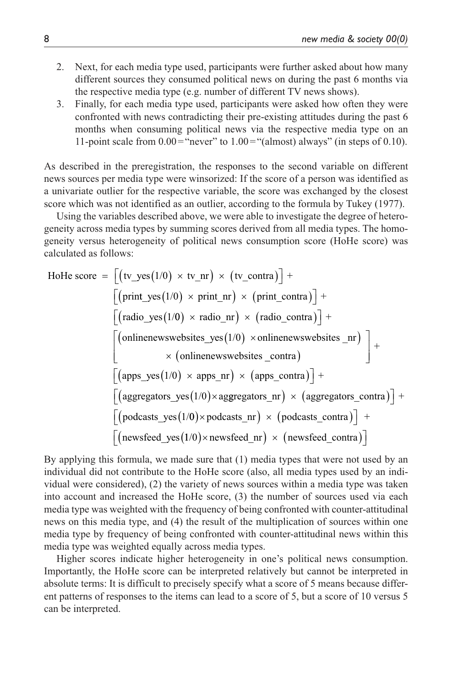- 2. Next, for each media type used, participants were further asked about how many different sources they consumed political news on during the past 6 months via the respective media type (e.g. number of different TV news shows).
- 3. Finally, for each media type used, participants were asked how often they were confronted with news contradicting their pre-existing attitudes during the past 6 months when consuming political news via the respective media type on an 11-point scale from  $0.00$  = "never" to  $1.00$  = "(almost) always" (in steps of 0.10).

As described in the preregistration, the responses to the second variable on different news sources per media type were winsorized: If the score of a person was identified as a univariate outlier for the respective variable, the score was exchanged by the closest score which was not identified as an outlier, according to the formula by Tukey (1977).

Using the variables described above, we were able to investigate the degree of heterogeneity across media types by summing scores derived from all media types. The homogeneity versus heterogeneity of political news consumption score (HoHe score) was calculated as follows:

HoHe score = 
$$
\left[ \left( \text{tv\_yes}(1/0) \times \text{tv\_nr} \right) \times \left( \text{tv\_contra} \right) \right] + \left[ \left( \text{print\_yes}(1/0) \times \text{print\_nr} \right) \times \left( \text{ratio\_contra} \right) \right] + \left[ \left( \text{radio\_yes}(1/0) \times \text{radio\_nr} \right) \times \left( \text{radio\_contra} \right) \right] + \left[ \left( \text{onlinenewswebsites\_se}(1/0) \times \text{onlinenewswebsites\_nr} \right) \right] + \left[ \left( \text{apps\_yes}(1/0) \times \text{apps\_nr} \right) \times \left( \text{apps\_contra} \right) \right] + \left[ \left( \text{aggregateors\_ves}(1/0) \times \text{aggregateors\_nr} \right) \times \left( \text{aggregateors\_contra} \right) \right] + \left[ \left( \text{podcasts\_yes}(1/0) \times \text{podcasts\_nr} \right) \times \left( \text{podcasts\_contra} \right) \right] + \left[ \left( \text{newspeed\_yes}(1/0) \times \text{newspeed\_nr} \right) \times \left( \text{newspeed\_contra} \right) \right]
$$

By applying this formula, we made sure that (1) media types that were not used by an individual did not contribute to the HoHe score (also, all media types used by an individual were considered), (2) the variety of news sources within a media type was taken into account and increased the HoHe score, (3) the number of sources used via each media type was weighted with the frequency of being confronted with counter-attitudinal news on this media type, and (4) the result of the multiplication of sources within one media type by frequency of being confronted with counter-attitudinal news within this media type was weighted equally across media types.

Higher scores indicate higher heterogeneity in one's political news consumption. Importantly, the HoHe score can be interpreted relatively but cannot be interpreted in absolute terms: It is difficult to precisely specify what a score of 5 means because different patterns of responses to the items can lead to a score of 5, but a score of 10 versus 5 can be interpreted.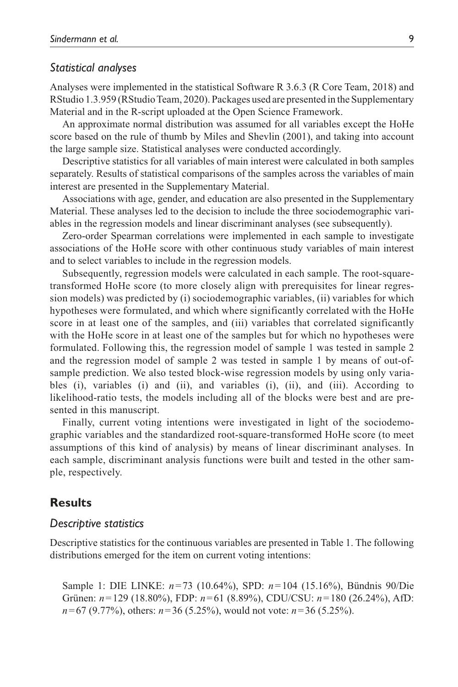### *Statistical analyses*

Analyses were implemented in the statistical Software R 3.6.3 (R Core Team, 2018) and RStudio 1.3.959 (RStudio Team, 2020). Packages used are presented in the Supplementary Material and in the R-script uploaded at the Open Science Framework.

An approximate normal distribution was assumed for all variables except the HoHe score based on the rule of thumb by Miles and Shevlin (2001), and taking into account the large sample size. Statistical analyses were conducted accordingly.

Descriptive statistics for all variables of main interest were calculated in both samples separately. Results of statistical comparisons of the samples across the variables of main interest are presented in the Supplementary Material.

Associations with age, gender, and education are also presented in the Supplementary Material. These analyses led to the decision to include the three sociodemographic variables in the regression models and linear discriminant analyses (see subsequently).

Zero-order Spearman correlations were implemented in each sample to investigate associations of the HoHe score with other continuous study variables of main interest and to select variables to include in the regression models.

Subsequently, regression models were calculated in each sample. The root-squaretransformed HoHe score (to more closely align with prerequisites for linear regression models) was predicted by (i) sociodemographic variables, (ii) variables for which hypotheses were formulated, and which where significantly correlated with the HoHe score in at least one of the samples, and (iii) variables that correlated significantly with the HoHe score in at least one of the samples but for which no hypotheses were formulated. Following this, the regression model of sample 1 was tested in sample 2 and the regression model of sample 2 was tested in sample 1 by means of out-ofsample prediction. We also tested block-wise regression models by using only variables (i), variables (i) and (ii), and variables (i), (ii), and (iii). According to likelihood-ratio tests, the models including all of the blocks were best and are presented in this manuscript.

Finally, current voting intentions were investigated in light of the sociodemographic variables and the standardized root-square-transformed HoHe score (to meet assumptions of this kind of analysis) by means of linear discriminant analyses. In each sample, discriminant analysis functions were built and tested in the other sample, respectively.

# **Results**

#### *Descriptive statistics*

Descriptive statistics for the continuous variables are presented in Table 1. The following distributions emerged for the item on current voting intentions:

Sample 1: DIE LINKE: *n* = 73 (10.64%), SPD: *n* = 104 (15.16%), Bündnis 90/Die Grünen: *n* = 129 (18.80%), FDP: *n* = 61 (8.89%), CDU/CSU: *n* = 180 (26.24%), AfD: *n* = 67 (9.77%), others: *n* = 36 (5.25%), would not vote: *n* = 36 (5.25%).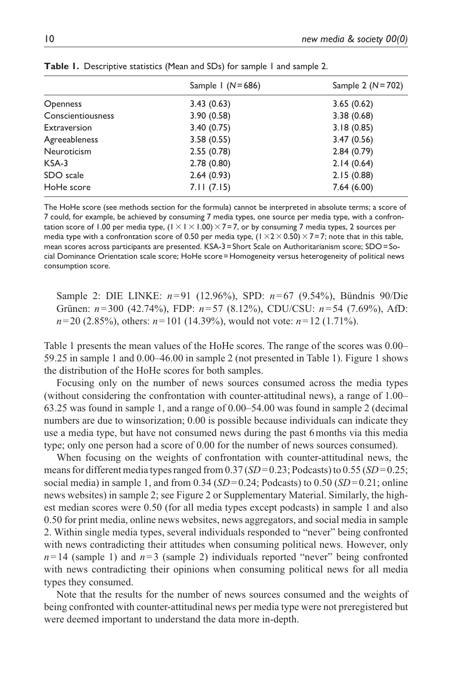|                   | Sample $1 (N=686)$ | Sample 2 $(N = 702)$ |  |  |
|-------------------|--------------------|----------------------|--|--|
| <b>Openness</b>   | 3.43(0.63)         | 3.65(0.62)           |  |  |
| Conscientiousness | 3.90(0.58)         | 3.38(0.68)           |  |  |
| Extraversion      | 3.40(0.75)         | 3.18(0.85)           |  |  |
| Agreeableness     | 3.58(0.55)         | 3.47(0.56)           |  |  |
| Neuroticism       | 2.55(0.78)         | 2.84(0.79)           |  |  |
| KSA-3             | 2.78(0.80)         | 2.14(0.64)           |  |  |
| SDO scale         | 2.64(0.93)         | 2.15(0.88)           |  |  |
| HoHe score        | 7.11(7.15)         | 7.64(6.00)           |  |  |
|                   |                    |                      |  |  |

Table 1. Descriptive statistics (Mean and SDs) for sample 1 and sample 2.

The HoHe score (see methods section for the formula) cannot be interpreted in absolute terms; a score of 7 could, for example, be achieved by consuming 7 media types, one source per media type, with a confrontation score of 1.00 per media type,  $(1 \times 1 \times 1.00) \times 7 = 7$ , or by consuming 7 media types, 2 sources per media type with a confrontation score of 0.50 per media type,  $(1 \times 2 \times 0.50) \times 7 = 7$ ; note that in this table, mean scores across participants are presented. KSA-3 = Short Scale on Authoritarianism score; SDO = Social Dominance Orientation scale score; HoHe score = Homogeneity versus heterogeneity of political news consumption score.

Sample 2: DIE LINKE: *n* = 91 (12.96%), SPD: *n* = 67 (9.54%), Bündnis 90/Die Grünen: *n* = 300 (42.74%), FDP: *n* = 57 (8.12%), CDU/CSU: *n* = 54 (7.69%), AfD: *n* = 20 (2.85%), others: *n* = 101 (14.39%), would not vote: *n* = 12 (1.71%).

Table 1 presents the mean values of the HoHe scores. The range of the scores was 0.00– 59.25 in sample 1 and 0.00–46.00 in sample 2 (not presented in Table 1). Figure 1 shows the distribution of the HoHe scores for both samples.

Focusing only on the number of news sources consumed across the media types (without considering the confrontation with counter-attitudinal news), a range of 1.00– 63.25 was found in sample 1, and a range of 0.00–54.00 was found in sample 2 (decimal numbers are due to winsorization; 0.00 is possible because individuals can indicate they use a media type, but have not consumed news during the past 6 months via this media type; only one person had a score of 0.00 for the number of news sources consumed).

When focusing on the weights of confrontation with counter-attitudinal news, the means for different media types ranged from 0.37 (*SD* = 0.23; Podcasts) to 0.55 (*SD* = 0.25; social media) in sample 1, and from  $0.34$  (*SD* = 0.24; Podcasts) to  $0.50$  (*SD* = 0.21; online news websites) in sample 2; see Figure 2 or Supplementary Material. Similarly, the highest median scores were 0.50 (for all media types except podcasts) in sample 1 and also 0.50 for print media, online news websites, news aggregators, and social media in sample 2. Within single media types, several individuals responded to "never" being confronted with news contradicting their attitudes when consuming political news. However, only  $n=14$  (sample 1) and  $n=3$  (sample 2) individuals reported "never" being confronted with news contradicting their opinions when consuming political news for all media types they consumed.

Note that the results for the number of news sources consumed and the weights of being confronted with counter-attitudinal news per media type were not preregistered but were deemed important to understand the data more in-depth.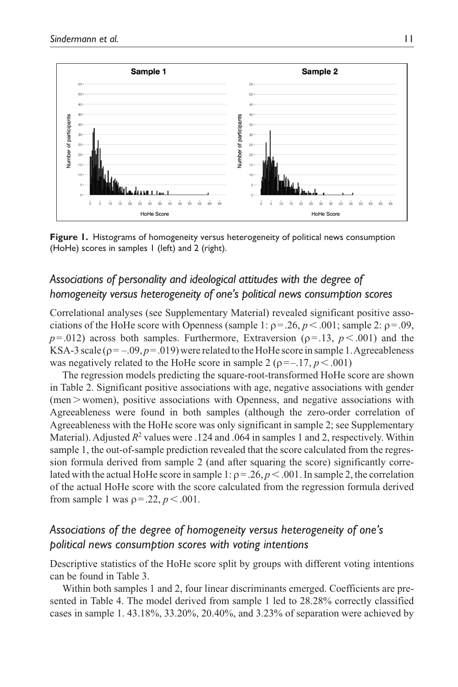

**Figure 1.** Histograms of homogeneity versus heterogeneity of political news consumption (HoHe) scores in samples  $\mathsf I$  (left) and 2 (right).

# *Associations of personality and ideological attitudes with the degree of homogeneity versus heterogeneity of one's political news consumption scores*

Correlational analyses (see Supplementary Material) revealed significant positive associations of the HoHe score with Openness (sample 1:  $p = .26$ ,  $p < .001$ ; sample 2:  $p = .09$ ,  $p = .012$ ) across both samples. Furthermore, Extraversion ( $p = .13$ ,  $p < .001$ ) and the KSA-3 scale ( $\rho = -0.09$ ,  $p = 0.019$ ) were related to the HoHe score in sample 1. Agreeableness was negatively related to the HoHe score in sample 2 ( $\rho = -17$ ,  $p < .001$ )

The regression models predicting the square-root-transformed HoHe score are shown in Table 2. Significant positive associations with age, negative associations with gender (men > women), positive associations with Openness, and negative associations with Agreeableness were found in both samples (although the zero-order correlation of Agreeableness with the HoHe score was only significant in sample 2; see Supplementary Material). Adjusted  $R^2$  values were .124 and .064 in samples 1 and 2, respectively. Within sample 1, the out-of-sample prediction revealed that the score calculated from the regression formula derived from sample 2 (and after squaring the score) significantly correlated with the actual HoHe score in sample 1:  $p = 0.26$ ,  $p < 0.001$ . In sample 2, the correlation of the actual HoHe score with the score calculated from the regression formula derived from sample 1 was  $\rho = 0.22$ ,  $p < 0.001$ .

# *Associations of the degree of homogeneity versus heterogeneity of one's political news consumption scores with voting intentions*

Descriptive statistics of the HoHe score split by groups with different voting intentions can be found in Table 3.

Within both samples 1 and 2, four linear discriminants emerged. Coefficients are presented in Table 4. The model derived from sample 1 led to 28.28% correctly classified cases in sample 1. 43.18%, 33.20%, 20.40%, and 3.23% of separation were achieved by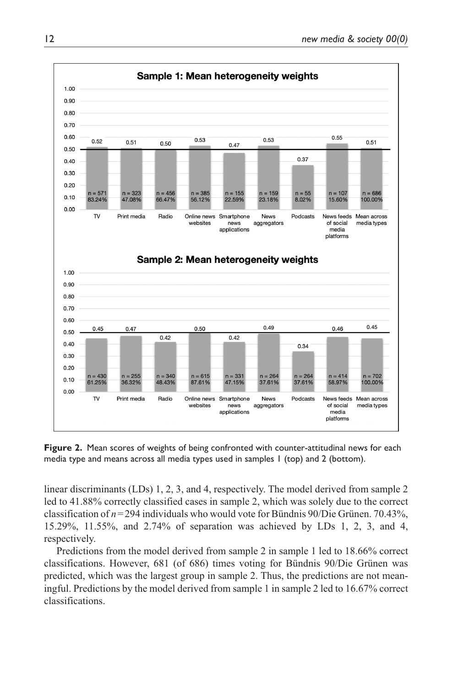

**Figure 2.** Mean scores of weights of being confronted with counter-attitudinal news for each media type and means across all media types used in samples 1 (top) and 2 (bottom).

linear discriminants (LDs) 1, 2, 3, and 4, respectively. The model derived from sample 2 led to 41.88% correctly classified cases in sample 2, which was solely due to the correct classification of  $n = 294$  individuals who would vote for Bündnis 90/Die Grünen. 70.43%, 15.29%, 11.55%, and 2.74% of separation was achieved by LDs 1, 2, 3, and 4, respectively.

Predictions from the model derived from sample 2 in sample 1 led to 18.66% correct classifications. However, 681 (of 686) times voting for Bündnis 90/Die Grünen was predicted, which was the largest group in sample 2. Thus, the predictions are not meaningful. Predictions by the model derived from sample 1 in sample 2 led to 16.67% correct classifications.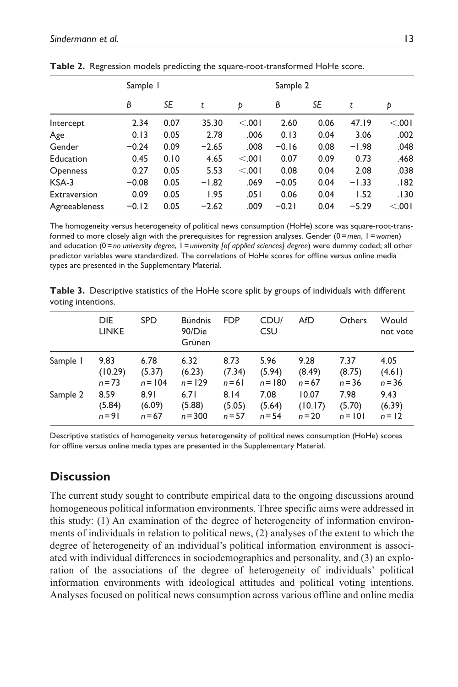|                 | Sample 1 |      |         |        | Sample 2 |      |         |         |
|-----------------|----------|------|---------|--------|----------|------|---------|---------|
|                 | B        | SE   | t       | Þ      | B        | SE   | t       | Þ       |
| Intercept       | 2.34     | 0.07 | 35.30   | < 0.01 | 2.60     | 0.06 | 47.19   | < 0.001 |
| Age             | 0.13     | 0.05 | 2.78    | .006   | 0.13     | 0.04 | 3.06    | .002    |
| Gender          | $-0.24$  | 0.09 | $-2.65$ | .008   | $-0.16$  | 0.08 | $-1.98$ | .048    |
| Education       | 0.45     | 0.10 | 4.65    | < 0.01 | 0.07     | 0.09 | 0.73    | .468    |
| <b>Openness</b> | 0.27     | 0.05 | 5.53    | < 0.01 | 0.08     | 0.04 | 2.08    | .038    |
| KSA-3           | $-0.08$  | 0.05 | $-1.82$ | .069   | $-0.05$  | 0.04 | $-1.33$ | .182    |
| Extraversion    | 0.09     | 0.05 | 1.95    | .051   | 0.06     | 0.04 | 1.52    | .130    |
| Agreeableness   | $-0.12$  | 0.05 | $-2.62$ | .009   | $-0.21$  | 0.04 | $-5.29$ | < 0.01  |

|  |  |  |  | Table 2. Regression models predicting the square-root-transformed HoHe score. |  |  |
|--|--|--|--|-------------------------------------------------------------------------------|--|--|
|--|--|--|--|-------------------------------------------------------------------------------|--|--|

The homogeneity versus heterogeneity of political news consumption (HoHe) score was square-root-transformed to more closely align with the prerequisites for regression analyses. Gender (0 = *men*, 1 = *women*) and education (0 = *no university degree*, 1 = *university* [of applied sciences] degree) were dummy coded; all other predictor variables were standardized. The correlations of HoHe scores for offline versus online media types are presented in the Supplementary Material.

**Table 3.** Descriptive statistics of the HoHe score split by groups of individuals with different voting intentions.

|          | <b>DIE</b><br><b>LINKE</b> | <b>SPD</b> | <b>Bündnis</b><br>90/Die<br>Grünen | <b>FDP</b> | CDU/<br><b>CSU</b> | AfD      | <b>Others</b> | Would<br>not vote |
|----------|----------------------------|------------|------------------------------------|------------|--------------------|----------|---------------|-------------------|
| Sample 1 | 9.83                       | 6.78       | 6.32                               | 8.73       | 5.96               | 9.28     | 7.37          | 4.05              |
|          | (10.29)                    | (5.37)     | (6.23)                             | (7.34)     | (5.94)             | (8.49)   | (8.75)        | (4.61)            |
|          | $n = 73$                   | $n = 104$  | $n = 129$                          | $n = 61$   | $n = 180$          | $n = 67$ | $n = 36$      | $n = 36$          |
| Sample 2 | 8.59                       | 8.91       | 6.71                               | 8.14       | 7.08               | 10.07    | 7.98          | 9.43              |
|          | (5.84)                     | (6.09)     | (5.88)                             | (5.05)     | (5.64)             | (10.17)  | (5.70)        | (6.39)            |
|          | $n = 91$                   | $n = 67$   | $n = 300$                          | $n = 57$   | $n = 54$           | $n = 20$ | $n = 101$     | $n = 12$          |

Descriptive statistics of homogeneity versus heterogeneity of political news consumption (HoHe) scores for offline versus online media types are presented in the Supplementary Material.

# **Discussion**

The current study sought to contribute empirical data to the ongoing discussions around homogeneous political information environments. Three specific aims were addressed in this study: (1) An examination of the degree of heterogeneity of information environments of individuals in relation to political news, (2) analyses of the extent to which the degree of heterogeneity of an individual's political information environment is associated with individual differences in sociodemographics and personality, and (3) an exploration of the associations of the degree of heterogeneity of individuals' political information environments with ideological attitudes and political voting intentions. Analyses focused on political news consumption across various offline and online media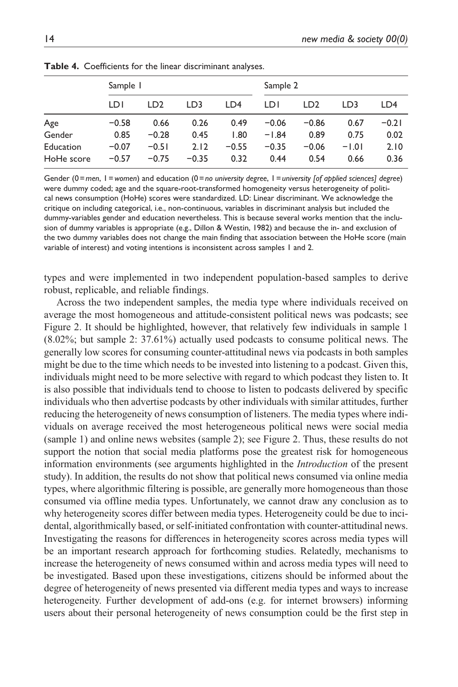|            | Sample 1 |                 |         |         | Sample 2 |         |         |         |
|------------|----------|-----------------|---------|---------|----------|---------|---------|---------|
|            | LDI      | LD <sub>2</sub> | LD3     | LD4     | LDI      | LD2     | LD3     | LD4     |
| Age        | $-0.58$  | 0.66            | 0.26    | 0.49    | $-0.06$  | $-0.86$ | 0.67    | $-0.21$ |
| Gender     | 0.85     | $-0.28$         | 0.45    | 1.80    | $-1.84$  | 0.89    | 0.75    | 0.02    |
| Education  | $-0.07$  | $-0.51$         | 2.12    | $-0.55$ | $-0.35$  | $-0.06$ | $-1.01$ | 2.10    |
| HoHe score | $-0.57$  | $-0.75$         | $-0.35$ | 0.32    | 0.44     | 0.54    | 0.66    | 0.36    |

**Table 4.** Coefficients for the linear discriminant analyses.

Gender (0 = *men*, 1 = *women*) and education (0 = *no university degree*, 1 = *university [of applied sciences] degree*) were dummy coded; age and the square-root-transformed homogeneity versus heterogeneity of political news consumption (HoHe) scores were standardized. LD: Linear discriminant. We acknowledge the critique on including categorical, i.e., non-continuous, variables in discriminant analysis but included the dummy-variables gender and education nevertheless. This is because several works mention that the inclusion of dummy variables is appropriate (e.g., Dillon & Westin, 1982) and because the in- and exclusion of the two dummy variables does not change the main finding that association between the HoHe score (main variable of interest) and voting intentions is inconsistent across samples 1 and 2.

types and were implemented in two independent population-based samples to derive robust, replicable, and reliable findings.

Across the two independent samples, the media type where individuals received on average the most homogeneous and attitude-consistent political news was podcasts; see Figure 2. It should be highlighted, however, that relatively few individuals in sample 1 (8.02%; but sample 2: 37.61%) actually used podcasts to consume political news. The generally low scores for consuming counter-attitudinal news via podcasts in both samples might be due to the time which needs to be invested into listening to a podcast. Given this, individuals might need to be more selective with regard to which podcast they listen to. It is also possible that individuals tend to choose to listen to podcasts delivered by specific individuals who then advertise podcasts by other individuals with similar attitudes, further reducing the heterogeneity of news consumption of listeners. The media types where individuals on average received the most heterogeneous political news were social media (sample 1) and online news websites (sample 2); see Figure 2. Thus, these results do not support the notion that social media platforms pose the greatest risk for homogeneous information environments (see arguments highlighted in the *Introduction* of the present study). In addition, the results do not show that political news consumed via online media types, where algorithmic filtering is possible, are generally more homogeneous than those consumed via offline media types. Unfortunately, we cannot draw any conclusion as to why heterogeneity scores differ between media types. Heterogeneity could be due to incidental, algorithmically based, or self-initiated confrontation with counter-attitudinal news. Investigating the reasons for differences in heterogeneity scores across media types will be an important research approach for forthcoming studies. Relatedly, mechanisms to increase the heterogeneity of news consumed within and across media types will need to be investigated. Based upon these investigations, citizens should be informed about the degree of heterogeneity of news presented via different media types and ways to increase heterogeneity. Further development of add-ons (e.g. for internet browsers) informing users about their personal heterogeneity of news consumption could be the first step in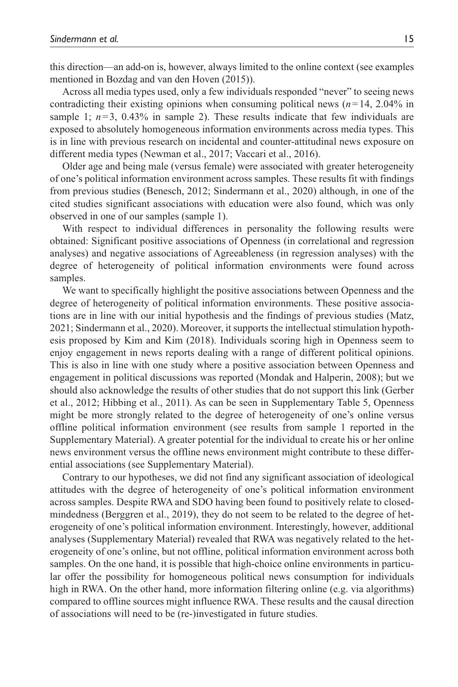this direction—an add-on is, however, always limited to the online context (see examples mentioned in Bozdag and van den Hoven (2015)).

Across all media types used, only a few individuals responded "never" to seeing news contradicting their existing opinions when consuming political news  $(n=14, 2.04\%)$  in sample 1;  $n=3$ , 0.43% in sample 2). These results indicate that few individuals are exposed to absolutely homogeneous information environments across media types. This is in line with previous research on incidental and counter-attitudinal news exposure on different media types (Newman et al., 2017; Vaccari et al., 2016).

Older age and being male (versus female) were associated with greater heterogeneity of one's political information environment across samples. These results fit with findings from previous studies (Benesch, 2012; Sindermann et al., 2020) although, in one of the cited studies significant associations with education were also found, which was only observed in one of our samples (sample 1).

With respect to individual differences in personality the following results were obtained: Significant positive associations of Openness (in correlational and regression analyses) and negative associations of Agreeableness (in regression analyses) with the degree of heterogeneity of political information environments were found across samples.

We want to specifically highlight the positive associations between Openness and the degree of heterogeneity of political information environments. These positive associations are in line with our initial hypothesis and the findings of previous studies (Matz, 2021; Sindermann et al., 2020). Moreover, it supports the intellectual stimulation hypothesis proposed by Kim and Kim (2018). Individuals scoring high in Openness seem to enjoy engagement in news reports dealing with a range of different political opinions. This is also in line with one study where a positive association between Openness and engagement in political discussions was reported (Mondak and Halperin, 2008); but we should also acknowledge the results of other studies that do not support this link (Gerber et al., 2012; Hibbing et al., 2011). As can be seen in Supplementary Table 5, Openness might be more strongly related to the degree of heterogeneity of one's online versus offline political information environment (see results from sample 1 reported in the Supplementary Material). A greater potential for the individual to create his or her online news environment versus the offline news environment might contribute to these differential associations (see Supplementary Material).

Contrary to our hypotheses, we did not find any significant association of ideological attitudes with the degree of heterogeneity of one's political information environment across samples. Despite RWA and SDO having been found to positively relate to closedmindedness (Berggren et al., 2019), they do not seem to be related to the degree of heterogeneity of one's political information environment. Interestingly, however, additional analyses (Supplementary Material) revealed that RWA was negatively related to the heterogeneity of one's online, but not offline, political information environment across both samples. On the one hand, it is possible that high-choice online environments in particular offer the possibility for homogeneous political news consumption for individuals high in RWA. On the other hand, more information filtering online (e.g. via algorithms) compared to offline sources might influence RWA. These results and the causal direction of associations will need to be (re-)investigated in future studies.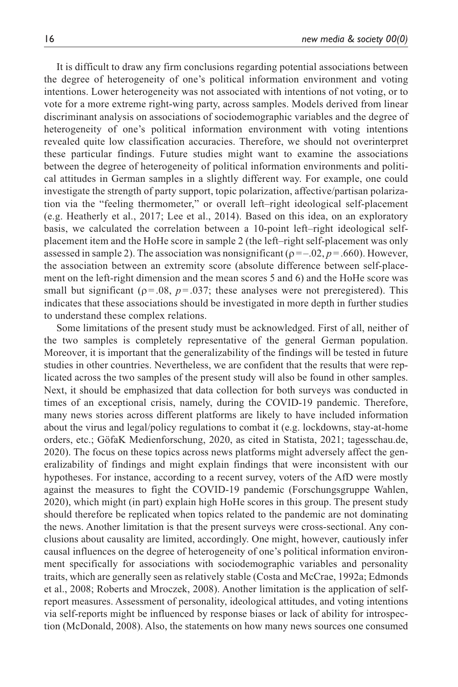It is difficult to draw any firm conclusions regarding potential associations between the degree of heterogeneity of one's political information environment and voting intentions. Lower heterogeneity was not associated with intentions of not voting, or to vote for a more extreme right-wing party, across samples. Models derived from linear discriminant analysis on associations of sociodemographic variables and the degree of heterogeneity of one's political information environment with voting intentions revealed quite low classification accuracies. Therefore, we should not overinterpret these particular findings. Future studies might want to examine the associations between the degree of heterogeneity of political information environments and political attitudes in German samples in a slightly different way. For example, one could investigate the strength of party support, topic polarization, affective/partisan polarization via the "feeling thermometer," or overall left–right ideological self-placement (e.g. Heatherly et al., 2017; Lee et al., 2014). Based on this idea, on an exploratory basis, we calculated the correlation between a 10-point left–right ideological selfplacement item and the HoHe score in sample 2 (the left–right self-placement was only assessed in sample 2). The association was nonsignificant ( $\rho = -0.02$ ,  $p = 0.660$ ). However, the association between an extremity score (absolute difference between self-placement on the left-right dimension and the mean scores 5 and 6) and the HoHe score was small but significant ( $p = .08$ ,  $p = .037$ ; these analyses were not preregistered). This indicates that these associations should be investigated in more depth in further studies to understand these complex relations.

Some limitations of the present study must be acknowledged. First of all, neither of the two samples is completely representative of the general German population. Moreover, it is important that the generalizability of the findings will be tested in future studies in other countries. Nevertheless, we are confident that the results that were replicated across the two samples of the present study will also be found in other samples. Next, it should be emphasized that data collection for both surveys was conducted in times of an exceptional crisis, namely, during the COVID-19 pandemic. Therefore, many news stories across different platforms are likely to have included information about the virus and legal/policy regulations to combat it (e.g. lockdowns, stay-at-home orders, etc.; GöfaK Medienforschung, 2020, as cited in Statista, 2021; tagesschau.de, 2020). The focus on these topics across news platforms might adversely affect the generalizability of findings and might explain findings that were inconsistent with our hypotheses. For instance, according to a recent survey, voters of the AfD were mostly against the measures to fight the COVID-19 pandemic (Forschungsgruppe Wahlen, 2020), which might (in part) explain high HoHe scores in this group. The present study should therefore be replicated when topics related to the pandemic are not dominating the news. Another limitation is that the present surveys were cross-sectional. Any conclusions about causality are limited, accordingly. One might, however, cautiously infer causal influences on the degree of heterogeneity of one's political information environment specifically for associations with sociodemographic variables and personality traits, which are generally seen as relatively stable (Costa and McCrae, 1992a; Edmonds et al., 2008; Roberts and Mroczek, 2008). Another limitation is the application of selfreport measures. Assessment of personality, ideological attitudes, and voting intentions via self-reports might be influenced by response biases or lack of ability for introspection (McDonald, 2008). Also, the statements on how many news sources one consumed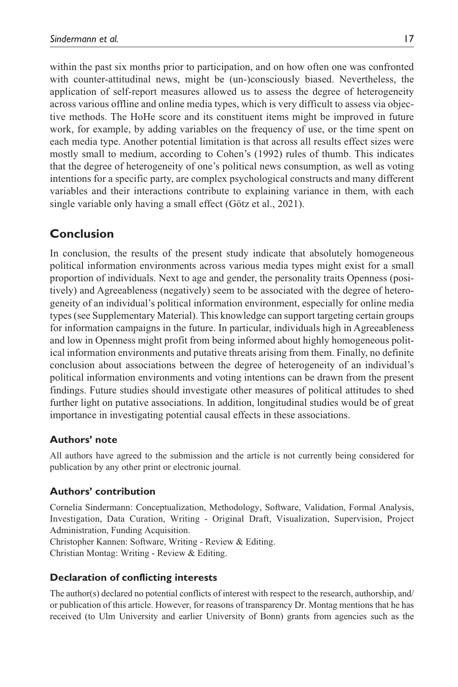within the past six months prior to participation, and on how often one was confronted with counter-attitudinal news, might be (un-)consciously biased. Nevertheless, the application of self-report measures allowed us to assess the degree of heterogeneity across various offline and online media types, which is very difficult to assess via objective methods. The HoHe score and its constituent items might be improved in future work, for example, by adding variables on the frequency of use, or the time spent on each media type. Another potential limitation is that across all results effect sizes were mostly small to medium, according to Cohen's (1992) rules of thumb. This indicates that the degree of heterogeneity of one's political news consumption, as well as voting intentions for a specific party, are complex psychological constructs and many different variables and their interactions contribute to explaining variance in them, with each single variable only having a small effect (Götz et al., 2021).

# **Conclusion**

In conclusion, the results of the present study indicate that absolutely homogeneous political information environments across various media types might exist for a small proportion of individuals. Next to age and gender, the personality traits Openness (positively) and Agreeableness (negatively) seem to be associated with the degree of heterogeneity of an individual's political information environment, especially for online media types (see Supplementary Material). This knowledge can support targeting certain groups for information campaigns in the future. In particular, individuals high in Agreeableness and low in Openness might profit from being informed about highly homogeneous political information environments and putative threats arising from them. Finally, no definite conclusion about associations between the degree of heterogeneity of an individual's political information environments and voting intentions can be drawn from the present findings. Future studies should investigate other measures of political attitudes to shed further light on putative associations. In addition, longitudinal studies would be of great importance in investigating potential causal effects in these associations.

## **Authors' note**

All authors have agreed to the submission and the article is not currently being considered for publication by any other print or electronic journal.

## **Authors' contribution**

Cornelia Sindermann: Conceptualization, Methodology, Software, Validation, Formal Analysis, Investigation, Data Curation, Writing - Original Draft, Visualization, Supervision, Project Administration, Funding Acquisition. Christopher Kannen: Software, Writing - Review & Editing.

Christian Montag: Writing - Review & Editing.

# **Declaration of conflicting interests**

The author(s) declared no potential conflicts of interest with respect to the research, authorship, and/ or publication of this article. However, for reasons of transparency Dr. Montag mentions that he has received (to Ulm University and earlier University of Bonn) grants from agencies such as the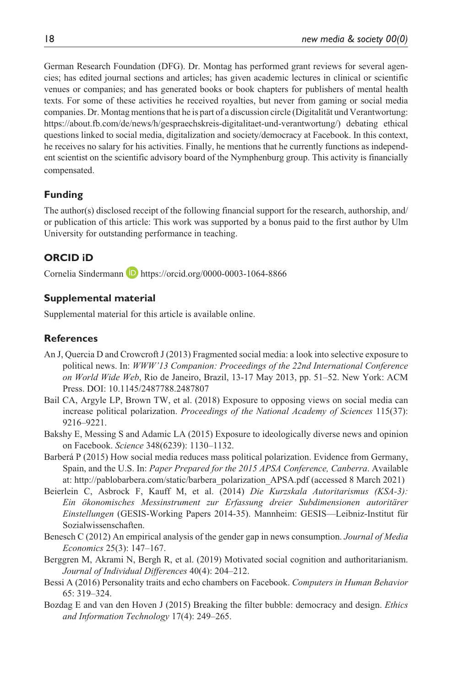German Research Foundation (DFG). Dr. Montag has performed grant reviews for several agencies; has edited journal sections and articles; has given academic lectures in clinical or scientific venues or companies; and has generated books or book chapters for publishers of mental health texts. For some of these activities he received royalties, but never from gaming or social media companies. Dr. Montag mentions that he is part of a discussion circle (Digitalität und Verantwortung: https://about.fb.com/de/news/h/gespraechskreis-digitalitaet-und-verantwortung/) debating ethical questions linked to social media, digitalization and society/democracy at Facebook. In this context, he receives no salary for his activities. Finally, he mentions that he currently functions as independent scientist on the scientific advisory board of the Nymphenburg group. This activity is financially compensated.

# **Funding**

The author(s) disclosed receipt of the following financial support for the research, authorship, and/ or publication of this article: This work was supported by a bonus paid to the first author by Ulm University for outstanding performance in teaching.

# **ORCID iD**

Cornelia Sindermann **D** https://orcid.org/0000-0003-1064-8866

## **Supplemental material**

Supplemental material for this article is available online.

# **References**

- An J, Quercia D and Crowcroft J (2013) Fragmented social media: a look into selective exposure to political news. In: *WWW'13 Companion: Proceedings of the 22nd International Conference on World Wide Web*, Rio de Janeiro, Brazil, 13-17 May 2013, pp. 51–52. New York: ACM Press. DOI: 10.1145/2487788.2487807
- Bail CA, Argyle LP, Brown TW, et al. (2018) Exposure to opposing views on social media can increase political polarization. *Proceedings of the National Academy of Sciences* 115(37): 9216–9221.
- Bakshy E, Messing S and Adamic LA (2015) Exposure to ideologically diverse news and opinion on Facebook. *Science* 348(6239): 1130–1132.
- Barberá P (2015) How social media reduces mass political polarization. Evidence from Germany, Spain, and the U.S. In: *Paper Prepared for the 2015 APSA Conference, Canberra*. Available at: http://pablobarbera.com/static/barbera\_polarization\_APSA.pdf (accessed 8 March 2021)
- Beierlein C, Asbrock F, Kauff M, et al. (2014) *Die Kurzskala Autoritarismus (KSA-3): Ein ökonomisches Messinstrument zur Erfassung dreier Subdimensionen autoritärer Einstellungen* (GESIS-Working Papers 2014-35). Mannheim: GESIS—Leibniz-Institut für Sozialwissenschaften.
- Benesch C (2012) An empirical analysis of the gender gap in news consumption. *Journal of Media Economics* 25(3): 147–167.
- Berggren M, Akrami N, Bergh R, et al. (2019) Motivated social cognition and authoritarianism. *Journal of Individual Differences* 40(4): 204–212.
- Bessi A (2016) Personality traits and echo chambers on Facebook. *Computers in Human Behavior* 65: 319–324.
- Bozdag E and van den Hoven J (2015) Breaking the filter bubble: democracy and design. *Ethics and Information Technology* 17(4): 249–265.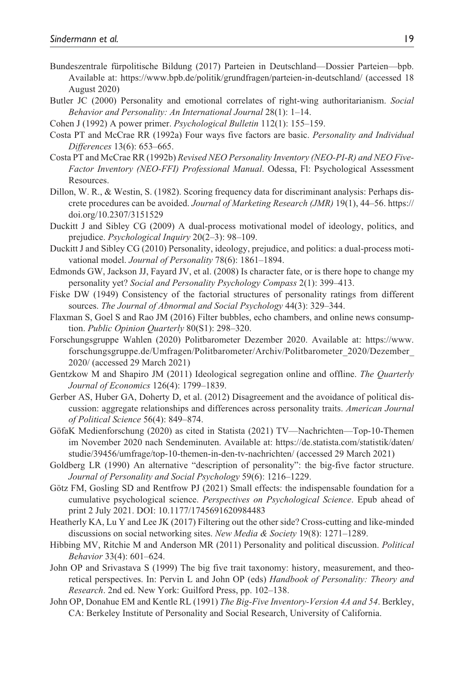- Bundeszentrale fürpolitische Bildung (2017) Parteien in Deutschland—Dossier Parteien—bpb. Available at: https://www.bpb.de/politik/grundfragen/parteien-in-deutschland/ (accessed 18 August 2020)
- Butler JC (2000) Personality and emotional correlates of right-wing authoritarianism. *Social Behavior and Personality: An International Journal* 28(1): 1–14.
- Cohen J (1992) A power primer. *Psychological Bulletin* 112(1): 155–159.
- Costa PT and McCrae RR (1992a) Four ways five factors are basic. *Personality and Individual Differences* 13(6): 653–665.
- Costa PT and McCrae RR (1992b) *Revised NEO Personality Inventory (NEO-PI-R) and NEO Five-Factor Inventory (NEO-FFI) Professional Manual*. Odessa, Fl: Psychological Assessment Resources.
- Dillon, W. R., & Westin, S. (1982). Scoring frequency data for discriminant analysis: Perhaps discrete procedures can be avoided. *Journal of Marketing Research (JMR)* 19(1), 44–56. https:// doi.org/10.2307/3151529
- Duckitt J and Sibley CG (2009) A dual-process motivational model of ideology, politics, and prejudice. *Psychological Inquiry* 20(2–3): 98–109.
- Duckitt J and Sibley CG (2010) Personality, ideology, prejudice, and politics: a dual-process motivational model. *Journal of Personality* 78(6): 1861–1894.
- Edmonds GW, Jackson JJ, Fayard JV, et al. (2008) Is character fate, or is there hope to change my personality yet? *Social and Personality Psychology Compass* 2(1): 399–413.
- Fiske DW (1949) Consistency of the factorial structures of personality ratings from different sources. *The Journal of Abnormal and Social Psychology* 44(3): 329–344.
- Flaxman S, Goel S and Rao JM (2016) Filter bubbles, echo chambers, and online news consumption. *Public Opinion Quarterly* 80(S1): 298–320.
- Forschungsgruppe Wahlen (2020) Politbarometer Dezember 2020. Available at: https://www. forschungsgruppe.de/Umfragen/Politbarometer/Archiv/Politbarometer\_2020/Dezember\_ 2020/ (accessed 29 March 2021)
- Gentzkow M and Shapiro JM (2011) Ideological segregation online and offline. *The Quarterly Journal of Economics* 126(4): 1799–1839.
- Gerber AS, Huber GA, Doherty D, et al. (2012) Disagreement and the avoidance of political discussion: aggregate relationships and differences across personality traits. *American Journal of Political Science* 56(4): 849–874.
- GöfaK Medienforschung (2020) as cited in Statista (2021) TV—Nachrichten—Top-10-Themen im November 2020 nach Sendeminuten. Available at: https://de.statista.com/statistik/daten/ studie/39456/umfrage/top-10-themen-in-den-tv-nachrichten/ (accessed 29 March 2021)
- Goldberg LR (1990) An alternative "description of personality": the big-five factor structure. *Journal of Personality and Social Psychology* 59(6): 1216–1229.
- Götz FM, Gosling SD and Rentfrow PJ (2021) Small effects: the indispensable foundation for a cumulative psychological science. *Perspectives on Psychological Science*. Epub ahead of print 2 July 2021. DOI: 10.1177/1745691620984483
- Heatherly KA, Lu Y and Lee JK (2017) Filtering out the other side? Cross-cutting and like-minded discussions on social networking sites. *New Media & Society* 19(8): 1271–1289.
- Hibbing MV, Ritchie M and Anderson MR (2011) Personality and political discussion. *Political Behavior* 33(4): 601–624.
- John OP and Srivastava S (1999) The big five trait taxonomy: history, measurement, and theoretical perspectives. In: Pervin L and John OP (eds) *Handbook of Personality: Theory and Research*. 2nd ed. New York: Guilford Press, pp. 102–138.
- John OP, Donahue EM and Kentle RL (1991) *The Big-Five Inventory-Version 4A and 54*. Berkley, CA: Berkeley Institute of Personality and Social Research, University of California.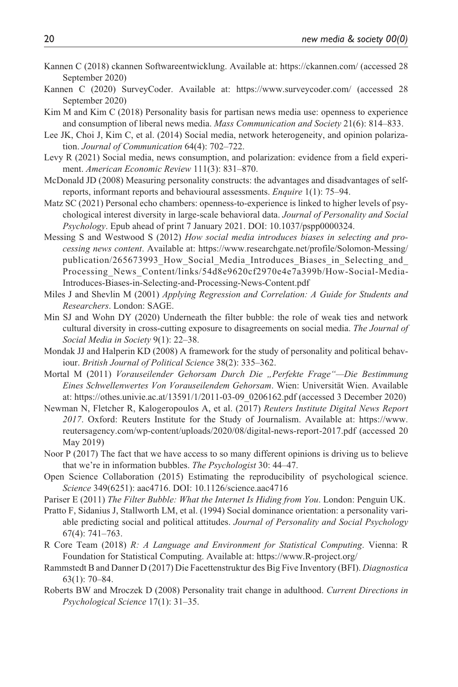- Kannen C (2018) ckannen Softwareentwicklung. Available at: https://ckannen.com/ (accessed 28 September 2020)
- Kannen C (2020) SurveyCoder. Available at: https://www.surveycoder.com/ (accessed 28 September 2020)
- Kim M and Kim C (2018) Personality basis for partisan news media use: openness to experience and consumption of liberal news media. *Mass Communication and Society* 21(6): 814–833.
- Lee JK, Choi J, Kim C, et al. (2014) Social media, network heterogeneity, and opinion polarization. *Journal of Communication* 64(4): 702–722.
- Levy R (2021) Social media, news consumption, and polarization: evidence from a field experiment. *American Economic Review* 111(3): 831–870.
- McDonald JD (2008) Measuring personality constructs: the advantages and disadvantages of selfreports, informant reports and behavioural assessments. *Enquire* 1(1): 75–94.
- Matz SC (2021) Personal echo chambers: openness-to-experience is linked to higher levels of psychological interest diversity in large-scale behavioral data. *Journal of Personality and Social Psychology*. Epub ahead of print 7 January 2021. DOI: 10.1037/pspp0000324.
- Messing S and Westwood S (2012) *How social media introduces biases in selecting and processing news content*. Available at: https://www.researchgate.net/profile/Solomon-Messing/ publication/265673993 How Social Media Introduces Biases in Selecting and Processing\_News\_Content/links/54d8e9620cf2970e4e7a399b/How-Social-Media-Introduces-Biases-in-Selecting-and-Processing-News-Content.pdf
- Miles J and Shevlin M (2001) *Applying Regression and Correlation: A Guide for Students and Researchers*. London: SAGE.
- Min SJ and Wohn DY (2020) Underneath the filter bubble: the role of weak ties and network cultural diversity in cross-cutting exposure to disagreements on social media. *The Journal of Social Media in Society* 9(1): 22–38.
- Mondak JJ and Halperin KD (2008) A framework for the study of personality and political behaviour. *British Journal of Political Science* 38(2): 335–362.
- Mortal M (2011) *Vorauseilender Gehorsam Durch Die "Perfekte Frage"—Die Bestimmung Eines Schwellenwertes Von Vorauseilendem Gehorsam*. Wien: Universität Wien. Available at: https://othes.univie.ac.at/13591/1/2011-03-09\_0206162.pdf (accessed 3 December 2020)
- Newman N, Fletcher R, Kalogeropoulos A, et al. (2017) *Reuters Institute Digital News Report 2017*. Oxford: Reuters Institute for the Study of Journalism. Available at: https://www. reutersagency.com/wp-content/uploads/2020/08/digital-news-report-2017.pdf (accessed 20 May 2019)
- Noor P (2017) The fact that we have access to so many different opinions is driving us to believe that we're in information bubbles. *The Psychologist* 30: 44–47.
- Open Science Collaboration (2015) Estimating the reproducibility of psychological science. *Science* 349(6251): aac4716. DOI: 10.1126/science.aac4716
- Pariser E (2011) *The Filter Bubble: What the Internet Is Hiding from You*. London: Penguin UK.
- Pratto F, Sidanius J, Stallworth LM, et al. (1994) Social dominance orientation: a personality variable predicting social and political attitudes. *Journal of Personality and Social Psychology* 67(4): 741–763.
- R Core Team (2018) *R: A Language and Environment for Statistical Computing*. Vienna: R Foundation for Statistical Computing. Available at: https://www.R-project.org/
- Rammstedt B and Danner D (2017) Die Facettenstruktur des Big Five Inventory (BFI). *Diagnostica* 63(1): 70–84.
- Roberts BW and Mroczek D (2008) Personality trait change in adulthood. *Current Directions in Psychological Science* 17(1): 31–35.